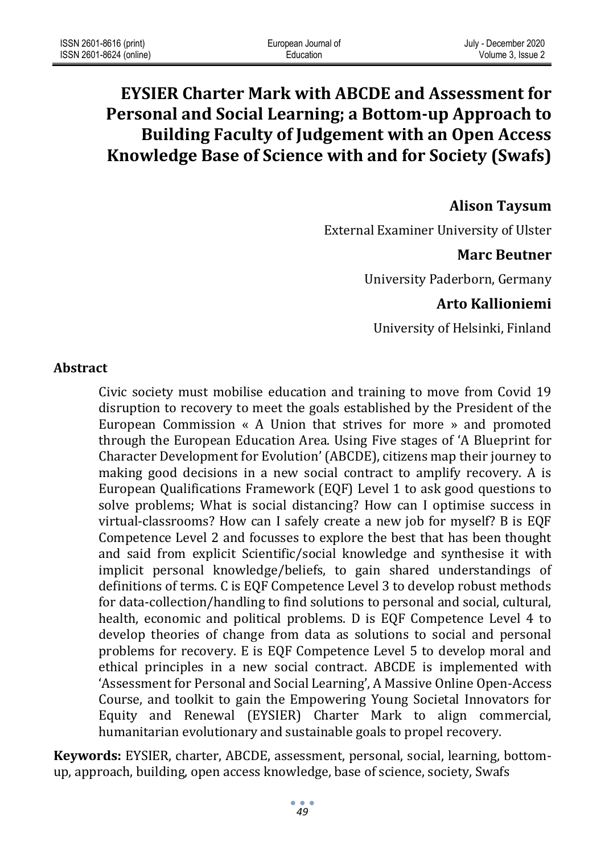# **EYSIER Charter Mark with ABCDE and Assessment for Personal and Social Learning; a Bottom-up Approach to Building Faculty of Judgement with an Open Access Knowledge Base of Science with and for Society (Swafs)**

# **Alison Taysum**

External Examiner University of Ulster

## **Marc Beutner**

University Paderborn, Germany

## **Arto Kallioniemi**

University of Helsinki, Finland

#### **Abstract**

Civic society must mobilise education and training to move from Covid 19 disruption to recovery to meet the goals established by the President of the European Commission « A Union that strives for more » and promoted through the European Education Area. Using Five stages of 'A Blueprint for Character Development for Evolution' (ABCDE), citizens map their journey to making good decisions in a new social contract to amplify recovery. A is European Qualifications Framework (EQF) Level 1 to ask good questions to solve problems; What is social distancing? How can I optimise success in virtual-classrooms? How can I safely create a new job for myself? B is EQF Competence Level 2 and focusses to explore the best that has been thought and said from explicit Scientific/social knowledge and synthesise it with implicit personal knowledge/beliefs, to gain shared understandings of definitions of terms. C is EQF Competence Level 3 to develop robust methods for data-collection/handling to find solutions to personal and social, cultural, health, economic and political problems. D is EQF Competence Level 4 to develop theories of change from data as solutions to social and personal problems for recovery. E is EQF Competence Level 5 to develop moral and ethical principles in a new social contract. ABCDE is implemented with 'Assessment for Personal and Social Learning', A Massive Online Open-Access Course, and toolkit to gain the Empowering Young Societal Innovators for Equity and Renewal (EYSIER) Charter Mark to align commercial, humanitarian evolutionary and sustainable goals to propel recovery.

**Keywords:** EYSIER, charter, ABCDE, assessment, personal, social, learning, bottomup, approach, building, open access knowledge, base of science, society, Swafs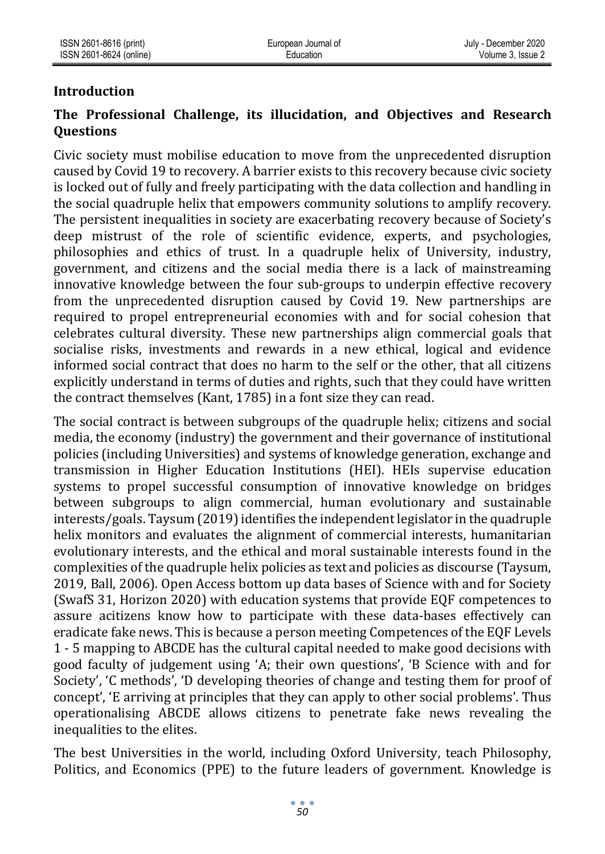### **Introduction**

## **The Professional Challenge, its illucidation, and Objectives and Research Questions**

Civic society must mobilise education to move from the unprecedented disruption caused by Covid 19 to recovery. A barrier exists to this recovery because civic society is locked out of fully and freely participating with the data collection and handling in the social quadruple helix that empowers community solutions to amplify recovery. The persistent inequalities in society are exacerbating recovery because of Society's deep mistrust of the role of scientific evidence, experts, and psychologies, philosophies and ethics of trust. In a quadruple helix of University, industry, government, and citizens and the social media there is a lack of mainstreaming innovative knowledge between the four sub-groups to underpin effective recovery from the unprecedented disruption caused by Covid 19. New partnerships are required to propel entrepreneurial economies with and for social cohesion that celebrates cultural diversity. These new partnerships align commercial goals that socialise risks, investments and rewards in a new ethical, logical and evidence informed social contract that does no harm to the self or the other, that all citizens explicitly understand in terms of duties and rights, such that they could have written the contract themselves (Kant, 1785) in a font size they can read.

The social contract is between subgroups of the quadruple helix; citizens and social media, the economy (industry) the government and their governance of institutional policies (including Universities) and systems of knowledge generation, exchange and transmission in Higher Education Institutions (HEI). HEIs supervise education systems to propel successful consumption of innovative knowledge on bridges between subgroups to align commercial, human evolutionary and sustainable interests/goals. Taysum (2019) identifies the independent legislator in the quadruple helix monitors and evaluates the alignment of commercial interests, humanitarian evolutionary interests, and the ethical and moral sustainable interests found in the complexities of the quadruple helix policies as text and policies as discourse (Taysum, 2019, Ball, 2006). Open Access bottom up data bases of Science with and for Society (SwafS 31, Horizon 2020) with education systems that provide EQF competences to assure acitizens know how to participate with these data-bases effectively can eradicate fake news. This is because a person meeting Competences of the EQF Levels 1 - 5 mapping to ABCDE has the cultural capital needed to make good decisions with good faculty of judgement using 'A; their own questions', 'B Science with and for Society', 'C methods', 'D developing theories of change and testing them for proof of concept', 'E arriving at principles that they can apply to other social problems'. Thus operationalising ABCDE allows citizens to penetrate fake news revealing the inequalities to the elites.

The best Universities in the world, including Oxford University, teach Philosophy, Politics, and Economics (PPE) to the future leaders of government. Knowledge is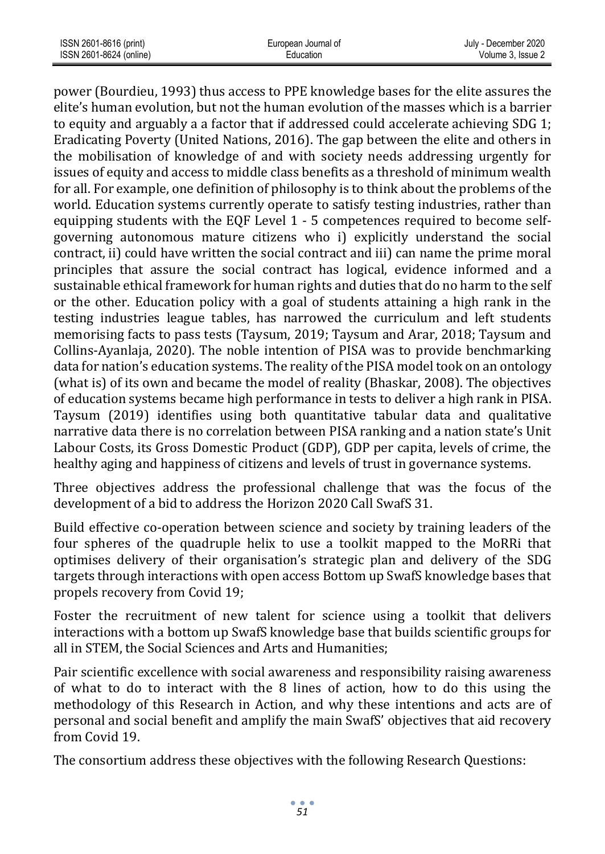| ISSN 2601-8616 (print)  | European Journal of | July - December 2020 |
|-------------------------|---------------------|----------------------|
| ISSN 2601-8624 (online) | Education           | Volume 3. Issue 2    |

power (Bourdieu, 1993) thus access to PPE knowledge bases for the elite assures the elite's human evolution, but not the human evolution of the masses which is a barrier to equity and arguably a a factor that if addressed could accelerate achieving SDG 1; Eradicating Poverty (United Nations, 2016). The gap between the elite and others in the mobilisation of knowledge of and with society needs addressing urgently for issues of equity and access to middle class benefits as a threshold of minimum wealth for all. For example, one definition of philosophy is to think about the problems of the world. Education systems currently operate to satisfy testing industries, rather than equipping students with the EQF Level 1 - 5 competences required to become selfgoverning autonomous mature citizens who i) explicitly understand the social contract, ii) could have written the social contract and iii) can name the prime moral principles that assure the social contract has logical, evidence informed and a sustainable ethical framework for human rights and duties that do no harm to the self or the other. Education policy with a goal of students attaining a high rank in the testing industries league tables, has narrowed the curriculum and left students memorising facts to pass tests (Taysum, 2019; Taysum and Arar, 2018; Taysum and Collins-Ayanlaja, 2020). The noble intention of PISA was to provide benchmarking data for nation's education systems. The reality of the PISA model took on an ontology (what is) of its own and became the model of reality (Bhaskar, 2008). The objectives of education systems became high performance in tests to deliver a high rank in PISA. Taysum (2019) identifies using both quantitative tabular data and qualitative narrative data there is no correlation between PISA ranking and a nation state's Unit Labour Costs, its Gross Domestic Product (GDP), GDP per capita, levels of crime, the healthy aging and happiness of citizens and levels of trust in governance systems.

Three objectives address the professional challenge that was the focus of the development of a bid to address the Horizon 2020 Call SwafS 31.

Build effective co-operation between science and society by training leaders of the four spheres of the quadruple helix to use a toolkit mapped to the MoRRi that optimises delivery of their organisation's strategic plan and delivery of the SDG targets through interactions with open access Bottom up SwafS knowledge bases that propels recovery from Covid 19;

Foster the recruitment of new talent for science using a toolkit that delivers interactions with a bottom up SwafS knowledge base that builds scientific groups for all in STEM, the Social Sciences and Arts and Humanities;

Pair scientific excellence with social awareness and responsibility raising awareness of what to do to interact with the 8 lines of action, how to do this using the methodology of this Research in Action, and why these intentions and acts are of personal and social benefit and amplify the main SwafS' objectives that aid recovery from Covid 19.

The consortium address these objectives with the following Research Questions: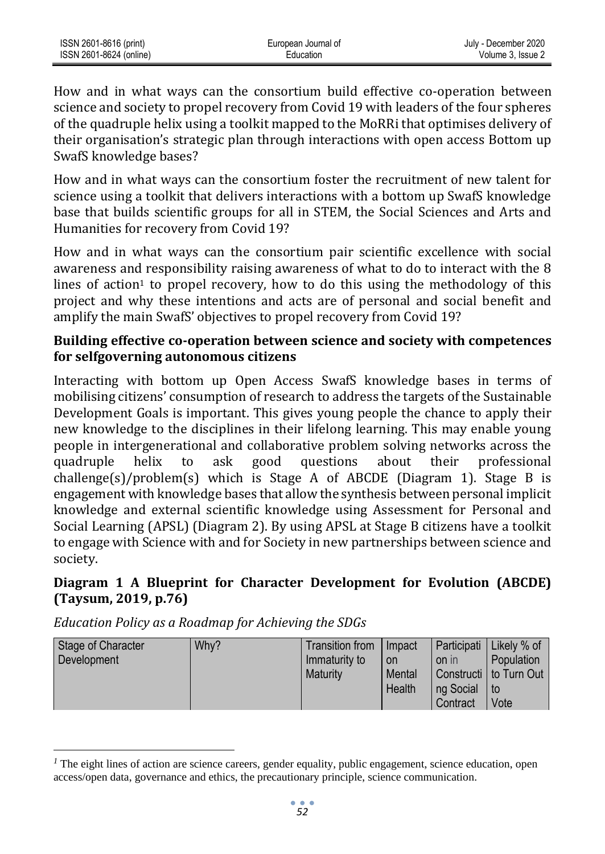How and in what ways can the consortium build effective co-operation between science and society to propel recovery from Covid 19 with leaders of the four spheres of the quadruple helix using a toolkit mapped to the MoRRi that optimises delivery of their organisation's strategic plan through interactions with open access Bottom up SwafS knowledge bases?

How and in what ways can the consortium foster the recruitment of new talent for science using a toolkit that delivers interactions with a bottom up SwafS knowledge base that builds scientific groups for all in STEM, the Social Sciences and Arts and Humanities for recovery from Covid 19?

How and in what ways can the consortium pair scientific excellence with social awareness and responsibility raising awareness of what to do to interact with the 8 lines of action<sup>1</sup> to propel recovery, how to do this using the methodology of this project and why these intentions and acts are of personal and social benefit and amplify the main SwafS' objectives to propel recovery from Covid 19?

### **Building effective co-operation between science and society with competences for selfgoverning autonomous citizens**

Interacting with bottom up Open Access SwafS knowledge bases in terms of mobilising citizens' consumption of research to address the targets of the Sustainable Development Goals is important. This gives young people the chance to apply their new knowledge to the disciplines in their lifelong learning. This may enable young people in intergenerational and collaborative problem solving networks across the quadruple helix to ask good questions about their professional challenge(s)/problem(s) which is Stage A of ABCDE (Diagram 1). Stage B is engagement with knowledge bases that allow the synthesis between personal implicit knowledge and external scientific knowledge using Assessment for Personal and Social Learning (APSL) (Diagram 2). By using APSL at Stage B citizens have a toolkit to engage with Science with and for Society in new partnerships between science and society.

## **Diagram 1 A Blueprint for Character Development for Evolution (ABCDE) (Taysum, 2019, p.76)**

| Stage of Character<br>Development | Why? | Transition from<br>Immaturity to<br><b>Maturity</b> | Impact<br><b>on</b><br>Mental<br>Health | Participati<br>on in<br>ng Social<br>Contract | Likely % of<br>Population<br>I Constructi I to Turn Out<br>l to<br>Vote |
|-----------------------------------|------|-----------------------------------------------------|-----------------------------------------|-----------------------------------------------|-------------------------------------------------------------------------|
|-----------------------------------|------|-----------------------------------------------------|-----------------------------------------|-----------------------------------------------|-------------------------------------------------------------------------|

*Education Policy as a Roadmap for Achieving the SDGs*

<sup>&</sup>lt;sup>*1*</sup> The eight lines of action are science careers, gender equality, public engagement, science education, open access/open data, governance and ethics, the precautionary principle, science communication.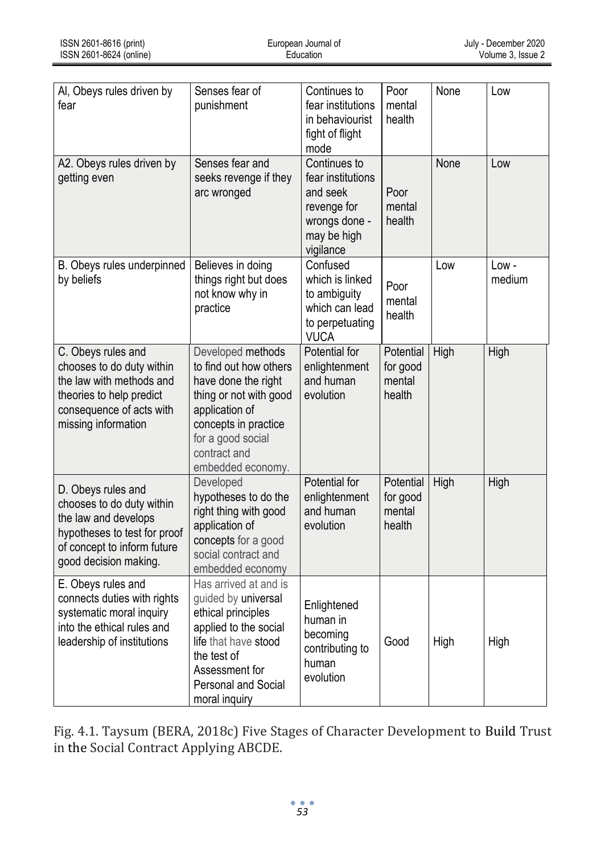| Al, Obeys rules driven by<br>fear                                                                                                                               | Senses fear of<br>punishment                                                                                                                                                                     | Continues to<br>fear institutions<br>in behaviourist<br>fight of flight<br>mode                           | Poor<br>mental<br>health                  | None | Low            |
|-----------------------------------------------------------------------------------------------------------------------------------------------------------------|--------------------------------------------------------------------------------------------------------------------------------------------------------------------------------------------------|-----------------------------------------------------------------------------------------------------------|-------------------------------------------|------|----------------|
| A2. Obeys rules driven by<br>getting even                                                                                                                       | Senses fear and<br>seeks revenge if they<br>arc wronged                                                                                                                                          | Continues to<br>fear institutions<br>and seek<br>revenge for<br>wrongs done -<br>may be high<br>vigilance | Poor<br>mental<br>health                  | None | Low            |
| B. Obeys rules underpinned<br>by beliefs                                                                                                                        | Believes in doing<br>things right but does<br>not know why in<br>practice                                                                                                                        | Confused<br>which is linked<br>to ambiguity<br>which can lead<br>to perpetuating<br><b>VUCA</b>           | Poor<br>mental<br>health                  | Low  | Low-<br>medium |
| C. Obeys rules and<br>chooses to do duty within<br>the law with methods and<br>theories to help predict<br>consequence of acts with<br>missing information      | Developed methods<br>to find out how others<br>have done the right<br>thing or not with good<br>application of<br>concepts in practice<br>for a good social<br>contract and<br>embedded economy. | Potential for<br>enlightenment<br>and human<br>evolution                                                  | Potential<br>for good<br>mental<br>health | High | High           |
| D. Obeys rules and<br>chooses to do duty within<br>the law and develops<br>hypotheses to test for proof<br>of concept to inform future<br>good decision making. | Developed<br>hypotheses to do the<br>right thing with good<br>application of<br>concepts for a good<br>social contract and<br>embedded economy                                                   | Potential for<br>enlightenment<br>and human<br>evolution                                                  | Potential<br>for good<br>mental<br>health | High | High           |
| E. Obeys rules and<br>connects duties with rights<br>systematic moral inquiry<br>into the ethical rules and<br>leadership of institutions                       | Has arrived at and is<br>guided by universal<br>ethical principles<br>applied to the social<br>life that have stood<br>the test of<br>Assessment for<br>Personal and Social<br>moral inquiry     | Enlightened<br>human in<br>becoming<br>contributing to<br>human<br>evolution                              | Good                                      | High | High           |

Fig. 4.1. Taysum (BERA, 2018c) Five Stages of Character Development to Build Trust in the Social Contract Applying ABCDE.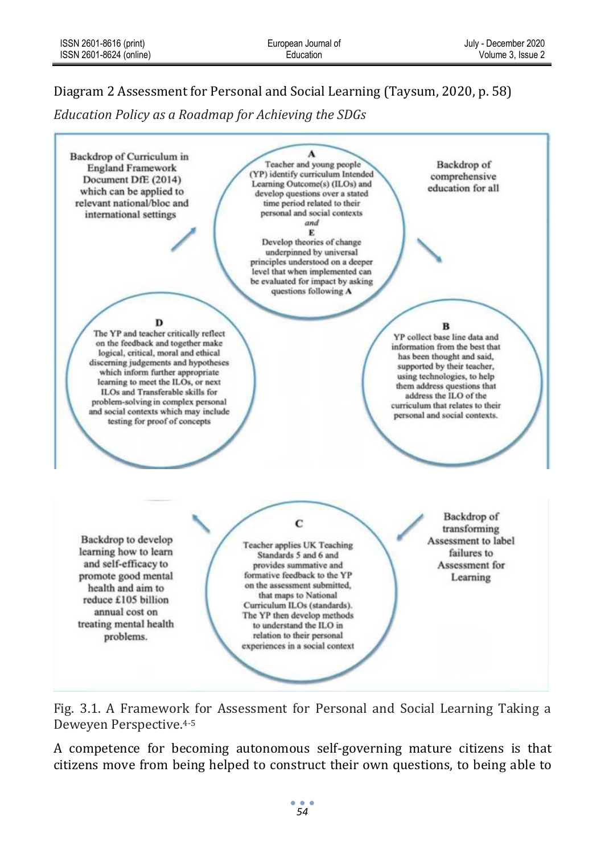# Diagram 2 Assessment for Personal and Social Learning (Taysum, 2020, p. 58)

*Education Policy as a Roadmap for Achieving the SDGs*



Fig. 3.1. A Framework for Assessment for Personal and Social Learning Taking a Deweyen Perspective.4-5

A competence for becoming autonomous self-governing mature citizens is that citizens move from being helped to construct their own questions, to being able to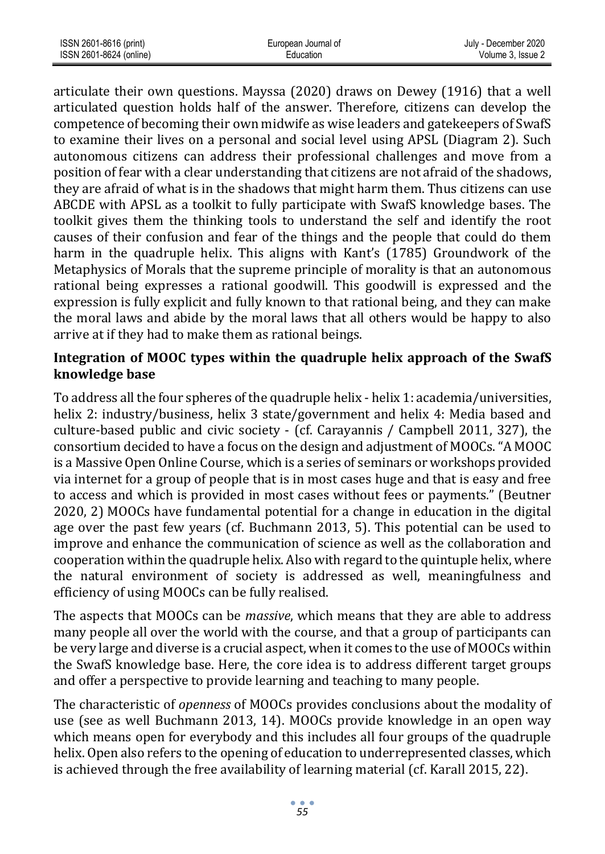| ISSN 2601-8616 (print)  | European Journal of | July - December 2020 |
|-------------------------|---------------------|----------------------|
| ISSN 2601-8624 (online) | Education           | Volume 3. Issue 2    |

articulate their own questions. Mayssa (2020) draws on Dewey (1916) that a well articulated question holds half of the answer. Therefore, citizens can develop the competence of becoming their own midwife as wise leaders and gatekeepers of SwafS to examine their lives on a personal and social level using APSL (Diagram 2). Such autonomous citizens can address their professional challenges and move from a position of fear with a clear understanding that citizens are not afraid of the shadows, they are afraid of what is in the shadows that might harm them. Thus citizens can use ABCDE with APSL as a toolkit to fully participate with SwafS knowledge bases. The toolkit gives them the thinking tools to understand the self and identify the root causes of their confusion and fear of the things and the people that could do them harm in the quadruple helix. This aligns with Kant's (1785) Groundwork of the Metaphysics of Morals that the supreme principle of morality is that an autonomous rational being expresses a rational goodwill. This goodwill is expressed and the expression is fully explicit and fully known to that rational being, and they can make the moral laws and abide by the moral laws that all others would be happy to also arrive at if they had to make them as rational beings.

#### **Integration of MOOC types within the quadruple helix approach of the SwafS knowledge base**

To address all the four spheres of the quadruple helix - helix 1: academia/universities, helix 2: industry/business, helix 3 state/government and helix 4: Media based and culture-based public and civic society - (cf. Carayannis / Campbell 2011, 327), the consortium decided to have a focus on the design and adjustment of MOOCs. "A MOOC is a Massive Open Online Course, which is a series of seminars or workshops provided via internet for a group of people that is in most cases huge and that is easy and free to access and which is provided in most cases without fees or payments." (Beutner 2020, 2) MOOCs have fundamental potential for a change in education in the digital age over the past few years (cf. Buchmann 2013, 5). This potential can be used to improve and enhance the communication of science as well as the collaboration and cooperation within the quadruple helix. Also with regard to the quintuple helix, where the natural environment of society is addressed as well, meaningfulness and efficiency of using MOOCs can be fully realised.

The aspects that MOOCs can be *massive*, which means that they are able to address many people all over the world with the course, and that a group of participants can be very large and diverse is a crucial aspect, when it comes to the use of MOOCs within the SwafS knowledge base. Here, the core idea is to address different target groups and offer a perspective to provide learning and teaching to many people.

The characteristic of *openness* of MOOCs provides conclusions about the modality of use (see as well Buchmann 2013, 14). MOOCs provide knowledge in an open way which means open for everybody and this includes all four groups of the quadruple helix. Open also refers to the opening of education to underrepresented classes, which is achieved through the free availability of learning material (cf. Karall 2015, 22).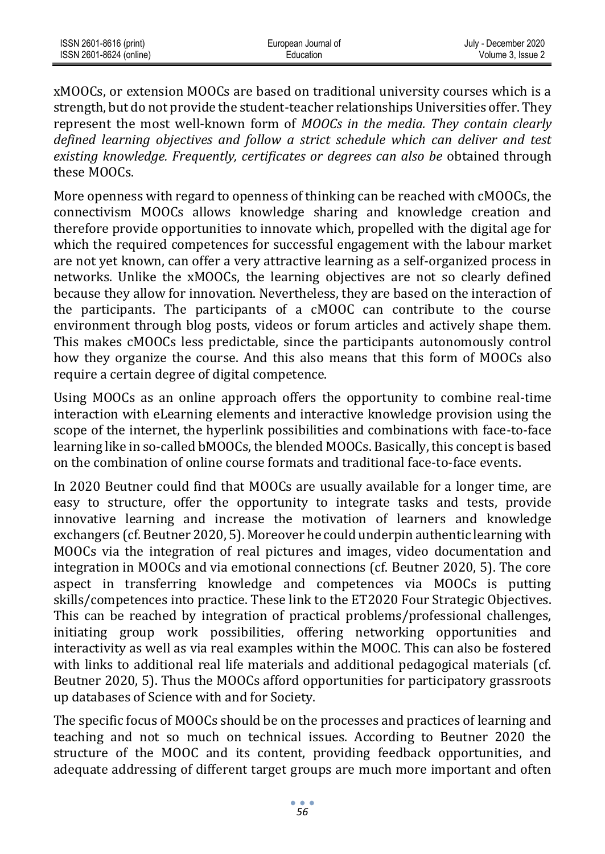| ISSN 2601-8616 (print)  | European Journal of | July - December 2020 |
|-------------------------|---------------------|----------------------|
| ISSN 2601-8624 (online) | Education           | Volume 3. Issue 2    |

xMOOCs, or extension MOOCs are based on traditional university courses which is a strength, but do not provide the student-teacher relationships Universities offer. They represent the most well-known form of *MOOCs in the media. They contain clearly defined learning objectives and follow a strict schedule which can deliver and test existing knowledge. Frequently, certificates or degrees can also be* obtained through these MOOCs.

More openness with regard to openness of thinking can be reached with cMOOCs, the connectivism MOOCs allows knowledge sharing and knowledge creation and therefore provide opportunities to innovate which, propelled with the digital age for which the required competences for successful engagement with the labour market are not yet known, can offer a very attractive learning as a self-organized process in networks. Unlike the xMOOCs, the learning objectives are not so clearly defined because they allow for innovation. Nevertheless, they are based on the interaction of the participants. The participants of a cMOOC can contribute to the course environment through blog posts, videos or forum articles and actively shape them. This makes cMOOCs less predictable, since the participants autonomously control how they organize the course. And this also means that this form of MOOCs also require a certain degree of digital competence.

Using MOOCs as an online approach offers the opportunity to combine real-time interaction with eLearning elements and interactive knowledge provision using the scope of the internet, the hyperlink possibilities and combinations with face-to-face learning like in so-called bMOOCs, the blended MOOCs. Basically, this concept is based on the combination of online course formats and traditional face-to-face events.

In 2020 Beutner could find that MOOCs are usually available for a longer time, are easy to structure, offer the opportunity to integrate tasks and tests, provide innovative learning and increase the motivation of learners and knowledge exchangers (cf. Beutner 2020, 5). Moreover he could underpin authentic learning with MOOCs via the integration of real pictures and images, video documentation and integration in MOOCs and via emotional connections (cf. Beutner 2020, 5). The core aspect in transferring knowledge and competences via MOOCs is putting skills/competences into practice. These link to the ET2020 Four Strategic Objectives. This can be reached by integration of practical problems/professional challenges, initiating group work possibilities, offering networking opportunities and interactivity as well as via real examples within the MOOC. This can also be fostered with links to additional real life materials and additional pedagogical materials (cf. Beutner 2020, 5). Thus the MOOCs afford opportunities for participatory grassroots up databases of Science with and for Society.

The specific focus of MOOCs should be on the processes and practices of learning and teaching and not so much on technical issues. According to Beutner 2020 the structure of the MOOC and its content, providing feedback opportunities, and adequate addressing of different target groups are much more important and often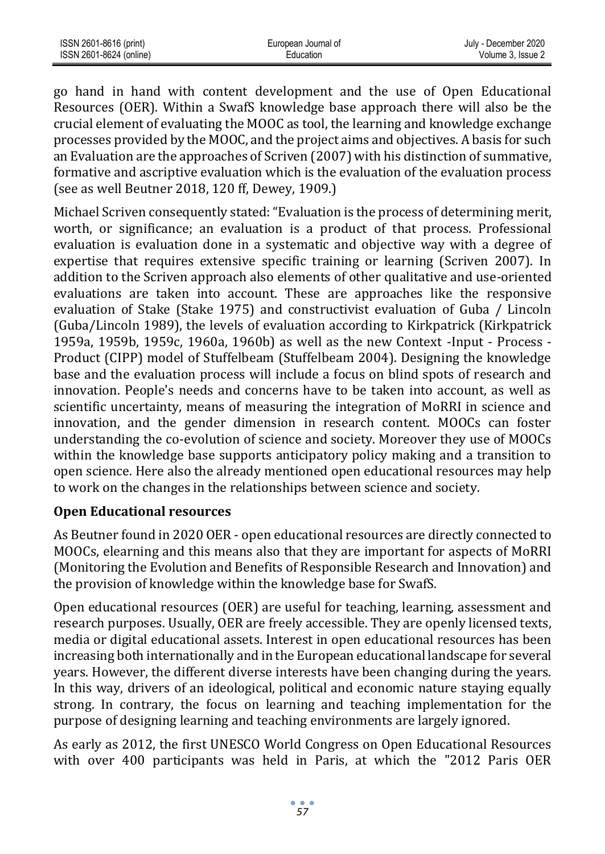| ISSN 2601-8616 (print)  | European Journal of | July - December 2020 |
|-------------------------|---------------------|----------------------|
| ISSN 2601-8624 (online) | Education           | Volume 3. Issue 2    |

go hand in hand with content development and the use of Open Educational Resources (OER). Within a SwafS knowledge base approach there will also be the crucial element of evaluating the MOOC as tool, the learning and knowledge exchange processes provided by the MOOC, and the project aims and objectives. A basis for such an Evaluation are the approaches of Scriven (2007) with his distinction of summative, formative and ascriptive evaluation which is the evaluation of the evaluation process (see as well Beutner 2018, 120 ff, Dewey, 1909.)

Michael Scriven consequently stated: "Evaluation is the process of determining merit, worth, or significance; an evaluation is a product of that process. Professional evaluation is evaluation done in a systematic and objective way with a degree of expertise that requires extensive specific training or learning (Scriven 2007). In addition to the Scriven approach also elements of other qualitative and use-oriented evaluations are taken into account. These are approaches like the responsive evaluation of Stake (Stake 1975) and constructivist evaluation of Guba / Lincoln (Guba/Lincoln 1989), the levels of evaluation according to Kirkpatrick (Kirkpatrick 1959a, 1959b, 1959c, 1960a, 1960b) as well as the new Context -Input - Process - Product (CIPP) model of Stuffelbeam (Stuffelbeam 2004). Designing the knowledge base and the evaluation process will include a focus on blind spots of research and innovation. People's needs and concerns have to be taken into account, as well as scientific uncertainty, means of measuring the integration of MoRRI in science and innovation, and the gender dimension in research content. MOOCs can foster understanding the co-evolution of science and society. Moreover they use of MOOCs within the knowledge base supports anticipatory policy making and a transition to open science. Here also the already mentioned open educational resources may help to work on the changes in the relationships between science and society.

#### **Open Educational resources**

As Beutner found in 2020 OER - open educational resources are directly connected to MOOCs, elearning and this means also that they are important for aspects of MoRRI (Monitoring the Evolution and Benefits of Responsible Research and Innovation) and the provision of knowledge within the knowledge base for SwafS.

Open educational resources (OER) are useful for teaching, learning, assessment and research purposes. Usually, OER are freely accessible. They are openly licensed texts, media or digital educational assets. Interest in open educational resources has been increasing both internationally and in the European educational landscape for several years. However, the different diverse interests have been changing during the years. In this way, drivers of an ideological, political and economic nature staying equally strong. In contrary, the focus on learning and teaching implementation for the purpose of designing learning and teaching environments are largely ignored.

As early as 2012, the first UNESCO World Congress on Open Educational Resources with over 400 participants was held in Paris, at which the "2012 Paris OER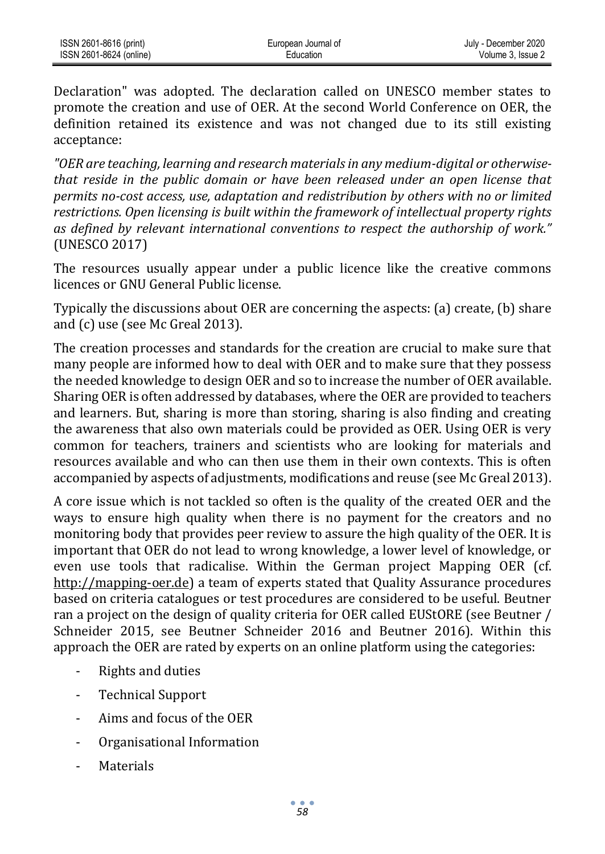Declaration" was adopted. The declaration called on UNESCO member states to promote the creation and use of OER. At the second World Conference on OER, the definition retained its existence and was not changed due to its still existing acceptance:

*"OER are teaching, learning and research materials in any medium-digital or otherwisethat reside in the public domain or have been released under an open license that permits no-cost access, use, adaptation and redistribution by others with no or limited restrictions. Open licensing is built within the framework of intellectual property rights as defined by relevant international conventions to respect the authorship of work."* (UNESCO 2017)

The resources usually appear under a public licence like the creative commons licences or GNU General Public license.

Typically the discussions about OER are concerning the aspects: (a) create, (b) share and (c) use (see Mc Greal 2013).

The creation processes and standards for the creation are crucial to make sure that many people are informed how to deal with OER and to make sure that they possess the needed knowledge to design OER and so to increase the number of OER available. Sharing OER is often addressed by databases, where the OER are provided to teachers and learners. But, sharing is more than storing, sharing is also finding and creating the awareness that also own materials could be provided as OER. Using OER is very common for teachers, trainers and scientists who are looking for materials and resources available and who can then use them in their own contexts. This is often accompanied by aspects of adjustments, modifications and reuse (see Mc Greal 2013).

A core issue which is not tackled so often is the quality of the created OER and the ways to ensure high quality when there is no payment for the creators and no monitoring body that provides peer review to assure the high quality of the OER. It is important that OER do not lead to wrong knowledge, a lower level of knowledge, or even use tools that radicalise. Within the German project Mapping OER (c[f.](http://mapping-oer.de/) [http://mapping-oer.de\)](http://mapping-oer.de/) a team of experts stated that Quality Assurance procedures based on criteria catalogues or test procedures are considered to be useful. Beutner ran a project on the design of quality criteria for OER called EUStORE (see Beutner / Schneider 2015, see Beutner Schneider 2016 and Beutner 2016). Within this approach the OER are rated by experts on an online platform using the categories:

- Rights and duties
- Technical Support
- Aims and focus of the OER
- Organisational Information
- **Materials**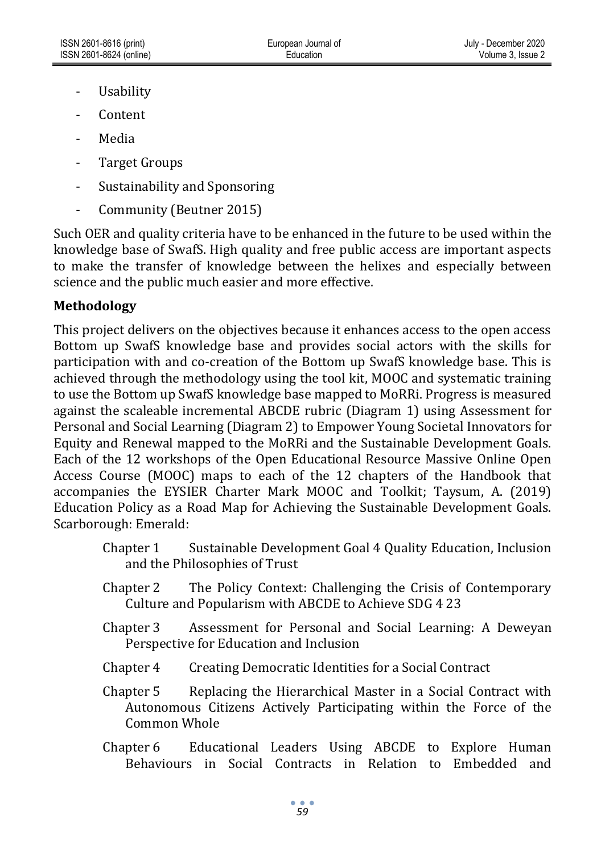- Usability
- Content
- Media
- Target Groups
- Sustainability and Sponsoring
- Community (Beutner 2015)

Such OER and quality criteria have to be enhanced in the future to be used within the knowledge base of SwafS. High quality and free public access are important aspects to make the transfer of knowledge between the helixes and especially between science and the public much easier and more effective.

### **Methodology**

This project delivers on the objectives because it enhances access to the open access Bottom up SwafS knowledge base and provides social actors with the skills for participation with and co-creation of the Bottom up SwafS knowledge base. This is achieved through the methodology using the tool kit, MOOC and systematic training to use the Bottom up SwafS knowledge base mapped to MoRRi. Progress is measured against the scaleable incremental ABCDE rubric (Diagram 1) using Assessment for Personal and Social Learning (Diagram 2) to Empower Young Societal Innovators for Equity and Renewal mapped to the MoRRi and the Sustainable Development Goals. Each of the 12 workshops of the Open Educational Resource Massive Online Open Access Course (MOOC) maps to each of the 12 chapters of the Handbook that accompanies the EYSIER Charter Mark MOOC and Toolkit; Taysum, A. (2019) Education Policy as a Road Map for Achieving the Sustainable Development Goals. Scarborough: Emerald:

- Chapter 1 Sustainable Development Goal 4 Quality Education, Inclusion and the Philosophies of Trust
- Chapter 2 The Policy Context: Challenging the Crisis of Contemporary Culture and Popularism with ABCDE to Achieve SDG 4 23
- Chapter 3 Assessment for Personal and Social Learning: A Deweyan Perspective for Education and Inclusion
- Chapter 4 Creating Democratic Identities for a Social Contract
- Chapter 5 Replacing the Hierarchical Master in a Social Contract with Autonomous Citizens Actively Participating within the Force of the Common Whole
- Chapter 6 Educational Leaders Using ABCDE to Explore Human Behaviours in Social Contracts in Relation to Embedded and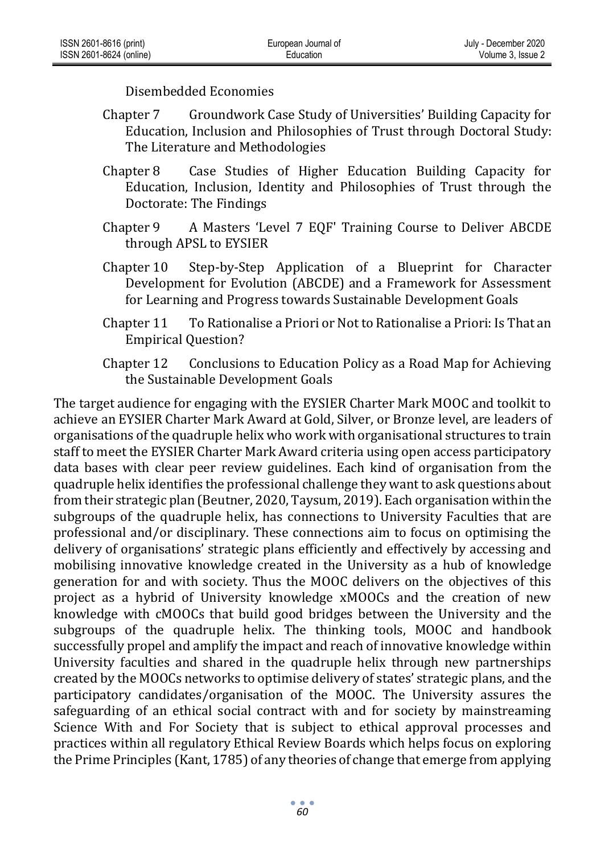Disembedded Economies

- Chapter 7 Groundwork Case Study of Universities' Building Capacity for Education, Inclusion and Philosophies of Trust through Doctoral Study: The Literature and Methodologies
- Chapter 8 Case Studies of Higher Education Building Capacity for Education, Inclusion, Identity and Philosophies of Trust through the Doctorate: The Findings
- Chapter 9 A Masters 'Level 7 EQF' Training Course to Deliver ABCDE through APSL to EYSIER
- Chapter 10 Step-by-Step Application of a Blueprint for Character Development for Evolution (ABCDE) and a Framework for Assessment for Learning and Progress towards Sustainable Development Goals
- Chapter 11 To Rationalise a Priori or Not to Rationalise a Priori: Is That an Empirical Question?
- Chapter 12 Conclusions to Education Policy as a Road Map for Achieving the Sustainable Development Goals

The target audience for engaging with the EYSIER Charter Mark MOOC and toolkit to achieve an EYSIER Charter Mark Award at Gold, Silver, or Bronze level, are leaders of organisations of the quadruple helix who work with organisational structures to train staff to meet the EYSIER Charter Mark Award criteria using open access participatory data bases with clear peer review guidelines. Each kind of organisation from the quadruple helix identifies the professional challenge they want to ask questions about from their strategic plan (Beutner, 2020, Taysum, 2019). Each organisation within the subgroups of the quadruple helix, has connections to University Faculties that are professional and/or disciplinary. These connections aim to focus on optimising the delivery of organisations' strategic plans efficiently and effectively by accessing and mobilising innovative knowledge created in the University as a hub of knowledge generation for and with society. Thus the MOOC delivers on the objectives of this project as a hybrid of University knowledge xMOOCs and the creation of new knowledge with cMOOCs that build good bridges between the University and the subgroups of the quadruple helix. The thinking tools, MOOC and handbook successfully propel and amplify the impact and reach of innovative knowledge within University faculties and shared in the quadruple helix through new partnerships created by the MOOCs networks to optimise delivery of states' strategic plans, and the participatory candidates/organisation of the MOOC. The University assures the safeguarding of an ethical social contract with and for society by mainstreaming Science With and For Society that is subject to ethical approval processes and practices within all regulatory Ethical Review Boards which helps focus on exploring the Prime Principles (Kant, 1785) of any theories of change that emerge from applying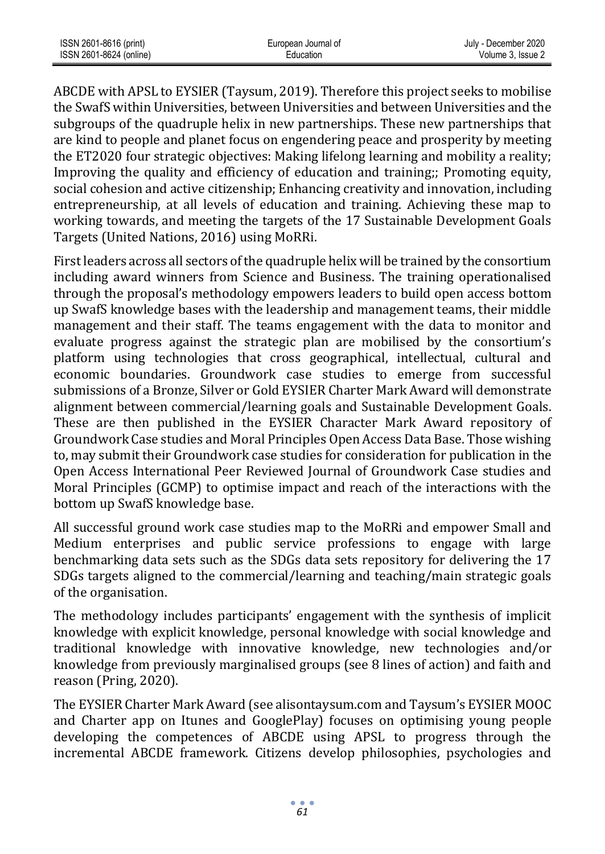| ISSN 2601-8616 (print)  | European Journal of | July - December 2020 |
|-------------------------|---------------------|----------------------|
| ISSN 2601-8624 (online) | Education           | Volume 3. Issue 2    |

ABCDE with APSL to EYSIER (Taysum, 2019). Therefore this project seeks to mobilise the SwafS within Universities, between Universities and between Universities and the subgroups of the quadruple helix in new partnerships. These new partnerships that are kind to people and planet focus on engendering peace and prosperity by meeting the ET2020 four strategic objectives: Making lifelong learning and mobility a reality; Improving the quality and efficiency of education and training;; Promoting equity, social cohesion and active citizenship; Enhancing creativity and innovation, including entrepreneurship, at all levels of education and training. Achieving these map to working towards, and meeting the targets of the 17 Sustainable Development Goals Targets (United Nations, 2016) using MoRRi.

First leaders across all sectors of the quadruple helix will be trained by the consortium including award winners from Science and Business. The training operationalised through the proposal's methodology empowers leaders to build open access bottom up SwafS knowledge bases with the leadership and management teams, their middle management and their staff. The teams engagement with the data to monitor and evaluate progress against the strategic plan are mobilised by the consortium's platform using technologies that cross geographical, intellectual, cultural and economic boundaries. Groundwork case studies to emerge from successful submissions of a Bronze, Silver or Gold EYSIER Charter Mark Award will demonstrate alignment between commercial/learning goals and Sustainable Development Goals. These are then published in the EYSIER Character Mark Award repository of Groundwork Case studies and Moral Principles Open Access Data Base. Those wishing to, may submit their Groundwork case studies for consideration for publication in the Open Access International Peer Reviewed Journal of Groundwork Case studies and Moral Principles (GCMP) to optimise impact and reach of the interactions with the bottom up SwafS knowledge base.

All successful ground work case studies map to the MoRRi and empower Small and Medium enterprises and public service professions to engage with large benchmarking data sets such as the SDGs data sets repository for delivering the 17 SDGs targets aligned to the commercial/learning and teaching/main strategic goals of the organisation.

The methodology includes participants' engagement with the synthesis of implicit knowledge with explicit knowledge, personal knowledge with social knowledge and traditional knowledge with innovative knowledge, new technologies and/or knowledge from previously marginalised groups (see 8 lines of action) and faith and reason (Pring, 2020).

The EYSIER Charter Mark Award (see alisontaysum.com and Taysum's EYSIER MOOC and Charter app on Itunes and GooglePlay) focuses on optimising young people developing the competences of ABCDE using APSL to progress through the incremental ABCDE framework. Citizens develop philosophies, psychologies and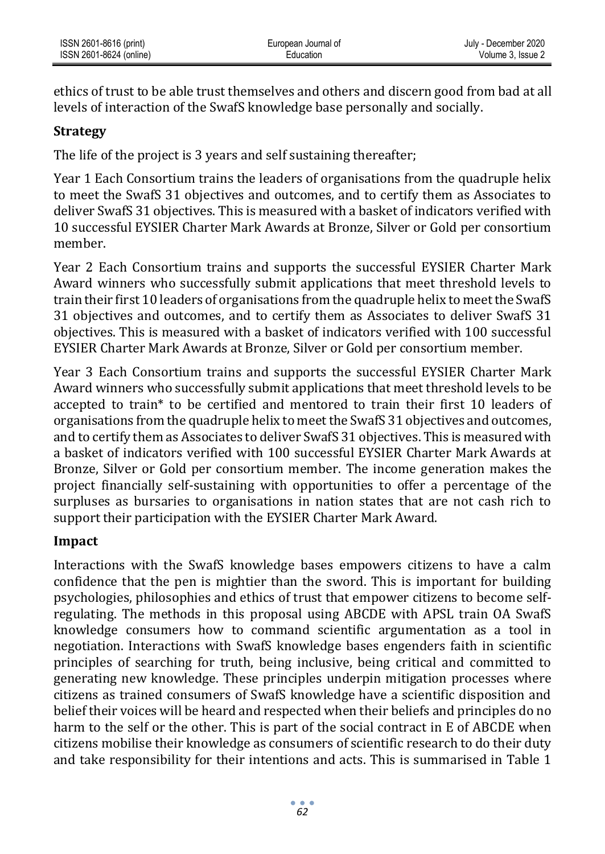### **Strategy**

The life of the project is 3 years and self sustaining thereafter;

Year 1 Each Consortium trains the leaders of organisations from the quadruple helix to meet the SwafS 31 objectives and outcomes, and to certify them as Associates to deliver SwafS 31 objectives. This is measured with a basket of indicators verified with 10 successful EYSIER Charter Mark Awards at Bronze, Silver or Gold per consortium member.

Year 2 Each Consortium trains and supports the successful EYSIER Charter Mark Award winners who successfully submit applications that meet threshold levels to train their first 10 leaders of organisations from the quadruple helix to meet the SwafS 31 objectives and outcomes, and to certify them as Associates to deliver SwafS 31 objectives. This is measured with a basket of indicators verified with 100 successful EYSIER Charter Mark Awards at Bronze, Silver or Gold per consortium member.

Year 3 Each Consortium trains and supports the successful EYSIER Charter Mark Award winners who successfully submit applications that meet threshold levels to be accepted to train\* to be certified and mentored to train their first 10 leaders of organisations from the quadruple helix to meet the SwafS 31 objectives and outcomes, and to certify them as Associates to deliver SwafS 31 objectives. This is measured with a basket of indicators verified with 100 successful EYSIER Charter Mark Awards at Bronze, Silver or Gold per consortium member. The income generation makes the project financially self-sustaining with opportunities to offer a percentage of the surpluses as bursaries to organisations in nation states that are not cash rich to support their participation with the EYSIER Charter Mark Award.

#### **Impact**

Interactions with the SwafS knowledge bases empowers citizens to have a calm confidence that the pen is mightier than the sword. This is important for building psychologies, philosophies and ethics of trust that empower citizens to become selfregulating. The methods in this proposal using ABCDE with APSL train OA SwafS knowledge consumers how to command scientific argumentation as a tool in negotiation. Interactions with SwafS knowledge bases engenders faith in scientific principles of searching for truth, being inclusive, being critical and committed to generating new knowledge. These principles underpin mitigation processes where citizens as trained consumers of SwafS knowledge have a scientific disposition and belief their voices will be heard and respected when their beliefs and principles do no harm to the self or the other. This is part of the social contract in E of ABCDE when citizens mobilise their knowledge as consumers of scientific research to do their duty and take responsibility for their intentions and acts. This is summarised in Table 1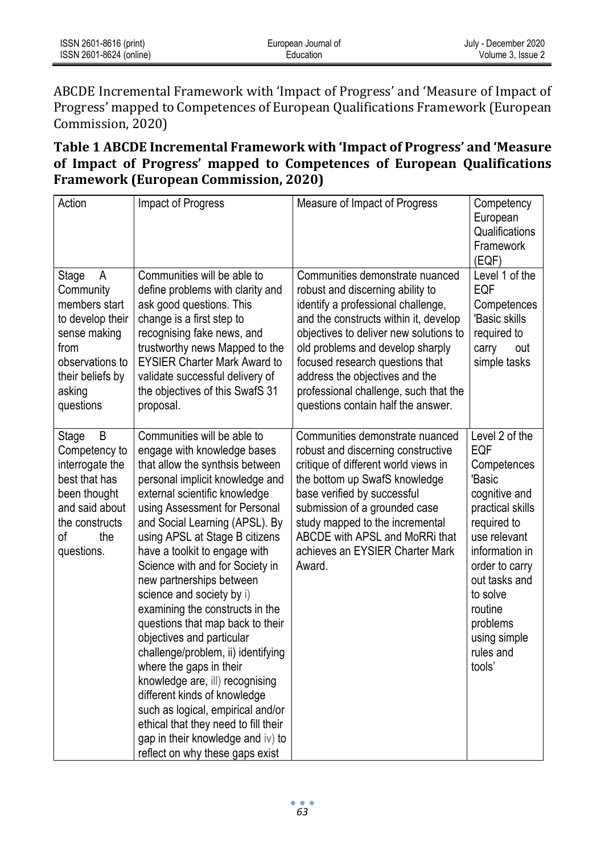| ISSN 2601-8616 (print)  | European Journal of | July - December 2020 |
|-------------------------|---------------------|----------------------|
| ISSN 2601-8624 (online) | Education           | Volume 3. Issue 2    |

ABCDE Incremental Framework with 'Impact of Progress' and 'Measure of Impact of Progress' mapped to Competences of European Qualifications Framework (European Commission, 2020)

### **Table 1 ABCDE Incremental Framework with 'Impact of Progress' and 'Measure of Impact of Progress' mapped to Competences of European Qualifications Framework (European Commission, 2020)**

| Action                                                                                                                                             | Impact of Progress                                                                                                                                                                                                                                                                                                                                                                                                                                                                                                                                                                                                                                                                                                                                                                               | Measure of Impact of Progress                                                                                                                                                                                                                                                                                                                                                        | Competency<br>European<br>Qualifications<br>Framework<br>(EQF)                                                                                                                                                                                           |
|----------------------------------------------------------------------------------------------------------------------------------------------------|--------------------------------------------------------------------------------------------------------------------------------------------------------------------------------------------------------------------------------------------------------------------------------------------------------------------------------------------------------------------------------------------------------------------------------------------------------------------------------------------------------------------------------------------------------------------------------------------------------------------------------------------------------------------------------------------------------------------------------------------------------------------------------------------------|--------------------------------------------------------------------------------------------------------------------------------------------------------------------------------------------------------------------------------------------------------------------------------------------------------------------------------------------------------------------------------------|----------------------------------------------------------------------------------------------------------------------------------------------------------------------------------------------------------------------------------------------------------|
| Stage<br>A<br>Community<br>members start<br>to develop their<br>sense making<br>from<br>observations to<br>their beliefs by<br>asking<br>questions | Communities will be able to<br>define problems with clarity and<br>ask good questions. This<br>change is a first step to<br>recognising fake news, and<br>trustworthy news Mapped to the<br><b>EYSIER Charter Mark Award to</b><br>validate successful delivery of<br>the objectives of this SwafS 31<br>proposal.                                                                                                                                                                                                                                                                                                                                                                                                                                                                               | Communities demonstrate nuanced<br>robust and discerning ability to<br>identify a professional challenge,<br>and the constructs within it, develop<br>objectives to deliver new solutions to<br>old problems and develop sharply<br>focused research questions that<br>address the objectives and the<br>professional challenge, such that the<br>questions contain half the answer. | Level 1 of the<br>EQF<br>Competences<br>'Basic skills<br>required to<br>carry<br>out<br>simple tasks                                                                                                                                                     |
| B<br>Stage<br>Competency to<br>interrogate the<br>best that has<br>been thought<br>and said about<br>the constructs<br>оf<br>the<br>questions.     | Communities will be able to<br>engage with knowledge bases<br>that allow the synthsis between<br>personal implicit knowledge and<br>external scientific knowledge<br>using Assessment for Personal<br>and Social Learning (APSL). By<br>using APSL at Stage B citizens<br>have a toolkit to engage with<br>Science with and for Society in<br>new partnerships between<br>science and society by i)<br>examining the constructs in the<br>questions that map back to their<br>objectives and particular<br>challenge/problem, ii) identifying<br>where the gaps in their<br>knowledge are, ill) recognising<br>different kinds of knowledge<br>such as logical, empirical and/or<br>ethical that they need to fill their<br>gap in their knowledge and iv) to<br>reflect on why these gaps exist | Communities demonstrate nuanced<br>robust and discerning constructive<br>critique of different world views in<br>the bottom up SwafS knowledge<br>base verified by successful<br>submission of a grounded case<br>study mapped to the incremental<br>ABCDE with APSL and MoRRi that<br>achieves an EYSIER Charter Mark<br>Award.                                                     | Level 2 of the<br><b>EQF</b><br>Competences<br>'Basic<br>cognitive and<br>practical skills<br>required to<br>use relevant<br>information in<br>order to carry<br>out tasks and<br>to solve<br>routine<br>problems<br>using simple<br>rules and<br>tools' |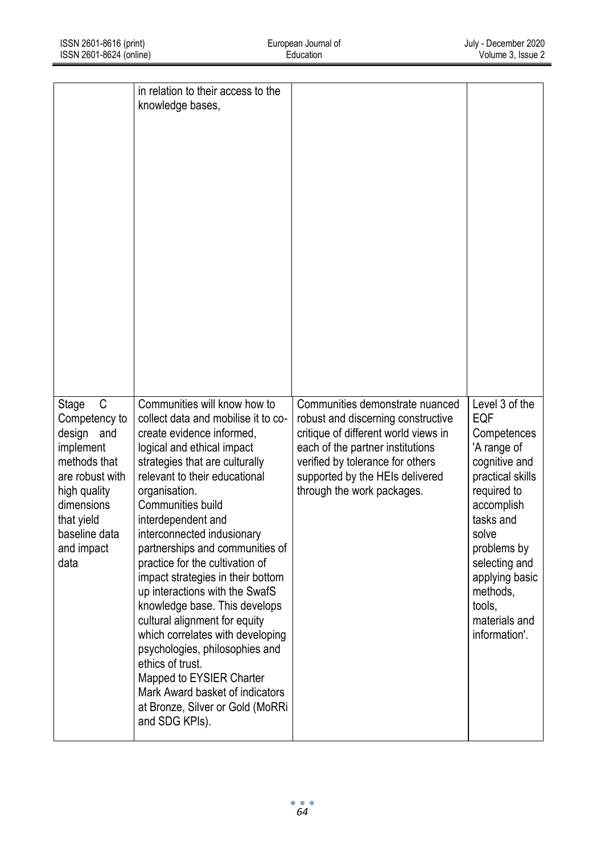|                                                                                                                                                                              | in relation to their access to the<br>knowledge bases,                                                                                                                                                                                                                                                                                                                                                                                                                                                                                                                                                                                                                                                                    |                                                                                                                                                                                                                                                        |                                                                                                                                                                                                                                                       |
|------------------------------------------------------------------------------------------------------------------------------------------------------------------------------|---------------------------------------------------------------------------------------------------------------------------------------------------------------------------------------------------------------------------------------------------------------------------------------------------------------------------------------------------------------------------------------------------------------------------------------------------------------------------------------------------------------------------------------------------------------------------------------------------------------------------------------------------------------------------------------------------------------------------|--------------------------------------------------------------------------------------------------------------------------------------------------------------------------------------------------------------------------------------------------------|-------------------------------------------------------------------------------------------------------------------------------------------------------------------------------------------------------------------------------------------------------|
| C<br>Stage<br>Competency to<br>design and<br>implement<br>methods that<br>are robust with<br>high quality<br>dimensions<br>that yield<br>baseline data<br>and impact<br>data | Communities will know how to<br>collect data and mobilise it to co-<br>create evidence informed,<br>logical and ethical impact<br>strategies that are culturally<br>relevant to their educational<br>organisation.<br>Communities build<br>interdependent and<br>interconnected indusionary<br>partnerships and communities of<br>practice for the cultivation of<br>impact strategies in their bottom<br>up interactions with the SwafS<br>knowledge base. This develops<br>cultural alignment for equity<br>which correlates with developing<br>psychologies, philosophies and<br>ethics of trust.<br>Mapped to EYSIER Charter<br>Mark Award basket of indicators<br>at Bronze, Silver or Gold (MoRRi<br>and SDG KPIs). | Communities demonstrate nuanced<br>robust and discerning constructive<br>critique of different world views in<br>each of the partner institutions<br>verified by tolerance for others<br>supported by the HEIs delivered<br>through the work packages. | Level 3 of the<br>EQF<br>Competences<br>'A range of<br>cognitive and<br>practical skills<br>required to<br>accomplish<br>tasks and<br>solve<br>problems by<br>selecting and<br>applying basic<br>methods,<br>tools,<br>materials and<br>information'. |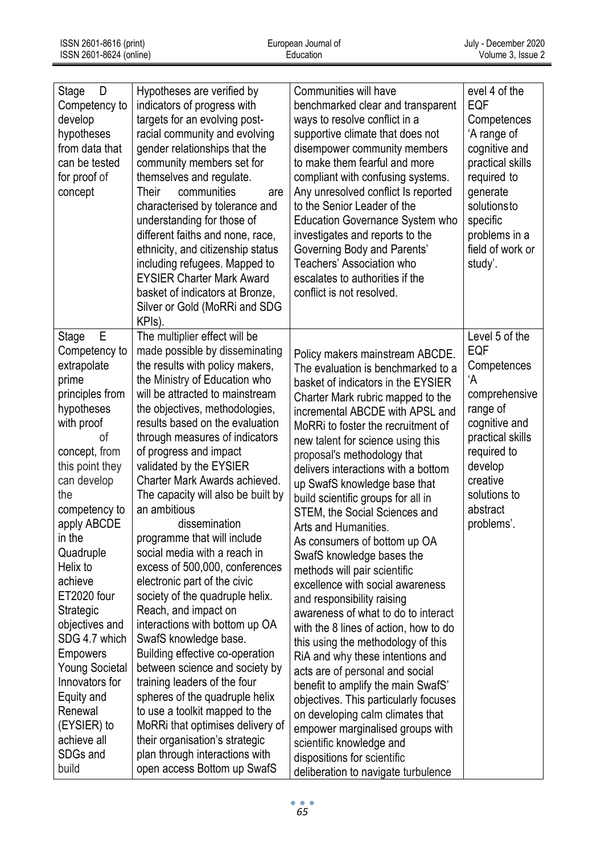| D<br>Stage<br>Competency to<br>develop<br>hypotheses<br>from data that<br>can be tested<br>for proof of<br>concept                                                                                                                                                                                                                                                                                                                                 | Hypotheses are verified by<br>indicators of progress with<br>targets for an evolving post-<br>racial community and evolving<br>gender relationships that the<br>community members set for<br>themselves and regulate.<br><b>Their</b><br>communities<br>are<br>characterised by tolerance and<br>understanding for those of<br>different faiths and none, race,<br>ethnicity, and citizenship status<br>including refugees. Mapped to<br><b>EYSIER Charter Mark Award</b><br>basket of indicators at Bronze,<br>Silver or Gold (MoRRi and SDG<br>KPIs).                                                                                                                                                                                                                                                                                                                                                                                                                                                          | Communities will have<br>benchmarked clear and transparent<br>ways to resolve conflict in a<br>supportive climate that does not<br>disempower community members<br>to make them fearful and more<br>compliant with confusing systems.<br>Any unresolved conflict Is reported<br>to the Senior Leader of the<br><b>Education Governance System who</b><br>investigates and reports to the<br>Governing Body and Parents'<br>Teachers' Association who<br>escalates to authorities if the<br>conflict is not resolved.                                                                                                                                                                                                                                                                                                                                                                                                                                                                                                                                                                     | evel 4 of the<br>EQF<br>Competences<br>'A range of<br>cognitive and<br>practical skills<br>required to<br>generate<br>solutionsto<br>specific<br>problems in a<br>field of work or<br>study'. |
|----------------------------------------------------------------------------------------------------------------------------------------------------------------------------------------------------------------------------------------------------------------------------------------------------------------------------------------------------------------------------------------------------------------------------------------------------|------------------------------------------------------------------------------------------------------------------------------------------------------------------------------------------------------------------------------------------------------------------------------------------------------------------------------------------------------------------------------------------------------------------------------------------------------------------------------------------------------------------------------------------------------------------------------------------------------------------------------------------------------------------------------------------------------------------------------------------------------------------------------------------------------------------------------------------------------------------------------------------------------------------------------------------------------------------------------------------------------------------|------------------------------------------------------------------------------------------------------------------------------------------------------------------------------------------------------------------------------------------------------------------------------------------------------------------------------------------------------------------------------------------------------------------------------------------------------------------------------------------------------------------------------------------------------------------------------------------------------------------------------------------------------------------------------------------------------------------------------------------------------------------------------------------------------------------------------------------------------------------------------------------------------------------------------------------------------------------------------------------------------------------------------------------------------------------------------------------|-----------------------------------------------------------------------------------------------------------------------------------------------------------------------------------------------|
| E<br>Stage<br>Competency to<br>extrapolate<br>prime<br>principles from<br>hypotheses<br>with proof<br>οf<br>concept, from<br>this point they<br>can develop<br>the<br>competency to<br>apply ABCDE<br>in the<br>Quadruple<br>Helix to<br>achieve<br>ET2020 four<br>Strategic<br>objectives and<br>SDG 4.7 which<br>Empowers<br><b>Young Societal</b><br>Innovators for<br>Equity and<br>Renewal<br>(EYSIER) to<br>achieve all<br>SDGs and<br>build | The multiplier effect will be<br>made possible by disseminating<br>the results with policy makers,<br>the Ministry of Education who<br>will be attracted to mainstream<br>the objectives, methodologies,<br>results based on the evaluation<br>through measures of indicators<br>of progress and impact<br>validated by the EYSIER<br>Charter Mark Awards achieved.<br>The capacity will also be built by<br>an ambitious<br>dissemination<br>programme that will include<br>social media with a reach in<br>excess of 500,000, conferences<br>electronic part of the civic<br>society of the quadruple helix.<br>Reach, and impact on<br>interactions with bottom up OA<br>SwafS knowledge base<br>Building effective co-operation<br>between science and society by<br>training leaders of the four<br>spheres of the quadruple helix<br>to use a toolkit mapped to the<br>MoRRi that optimises delivery of<br>their organisation's strategic<br>plan through interactions with<br>open access Bottom up SwafS | Policy makers mainstream ABCDE.<br>The evaluation is benchmarked to a<br>basket of indicators in the EYSIER<br>Charter Mark rubric mapped to the<br>incremental ABCDE with APSL and<br>MoRRi to foster the recruitment of<br>new talent for science using this<br>proposal's methodology that<br>delivers interactions with a bottom<br>up SwafS knowledge base that<br>build scientific groups for all in<br>STEM, the Social Sciences and<br>Arts and Humanities.<br>As consumers of bottom up OA<br>SwafS knowledge bases the<br>methods will pair scientific<br>excellence with social awareness<br>and responsibility raising<br>awareness of what to do to interact<br>with the 8 lines of action, how to do<br>this using the methodology of this<br>RiA and why these intentions and<br>acts are of personal and social<br>benefit to amplify the main SwafS'<br>objectives. This particularly focuses<br>on developing calm climates that<br>empower marginalised groups with<br>scientific knowledge and<br>dispositions for scientific<br>deliberation to navigate turbulence | Level 5 of the<br>EQF<br>Competences<br>ʻA<br>comprehensive<br>range of<br>cognitive and<br>practical skills<br>required to<br>develop<br>creative<br>solutions to<br>abstract<br>problems'.  |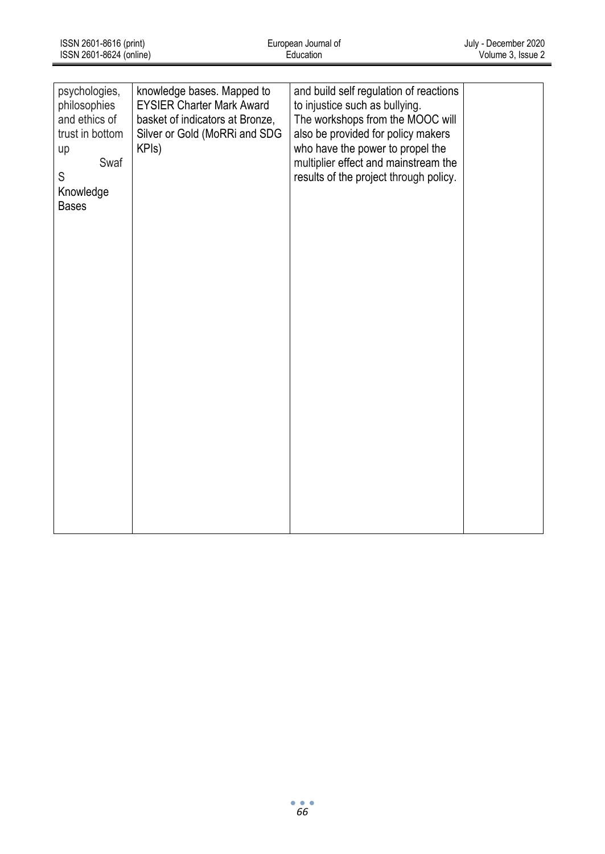| ISSN 2601-8616 (print)  | European Journal of | July - December 2020 |
|-------------------------|---------------------|----------------------|
| ISSN 2601-8624 (online) | Education           | Volume 3. Issue 2    |

| psychologies,   | knowledge bases. Mapped to       | and build self regulation of reactions |  |
|-----------------|----------------------------------|----------------------------------------|--|
| philosophies    | <b>EYSIER Charter Mark Award</b> | to injustice such as bullying.         |  |
| and ethics of   | basket of indicators at Bronze,  | The workshops from the MOOC will       |  |
| trust in bottom | Silver or Gold (MoRRi and SDG    | also be provided for policy makers     |  |
| up              | KPIs)                            | who have the power to propel the       |  |
| Swaf            |                                  | multiplier effect and mainstream the   |  |
| S               |                                  | results of the project through policy. |  |
| Knowledge       |                                  |                                        |  |
| <b>Bases</b>    |                                  |                                        |  |
|                 |                                  |                                        |  |
|                 |                                  |                                        |  |
|                 |                                  |                                        |  |
|                 |                                  |                                        |  |
|                 |                                  |                                        |  |
|                 |                                  |                                        |  |
|                 |                                  |                                        |  |
|                 |                                  |                                        |  |
|                 |                                  |                                        |  |
|                 |                                  |                                        |  |
|                 |                                  |                                        |  |
|                 |                                  |                                        |  |
|                 |                                  |                                        |  |
|                 |                                  |                                        |  |
|                 |                                  |                                        |  |
|                 |                                  |                                        |  |
|                 |                                  |                                        |  |
|                 |                                  |                                        |  |
|                 |                                  |                                        |  |
|                 |                                  |                                        |  |
|                 |                                  |                                        |  |
|                 |                                  |                                        |  |
|                 |                                  |                                        |  |
|                 |                                  |                                        |  |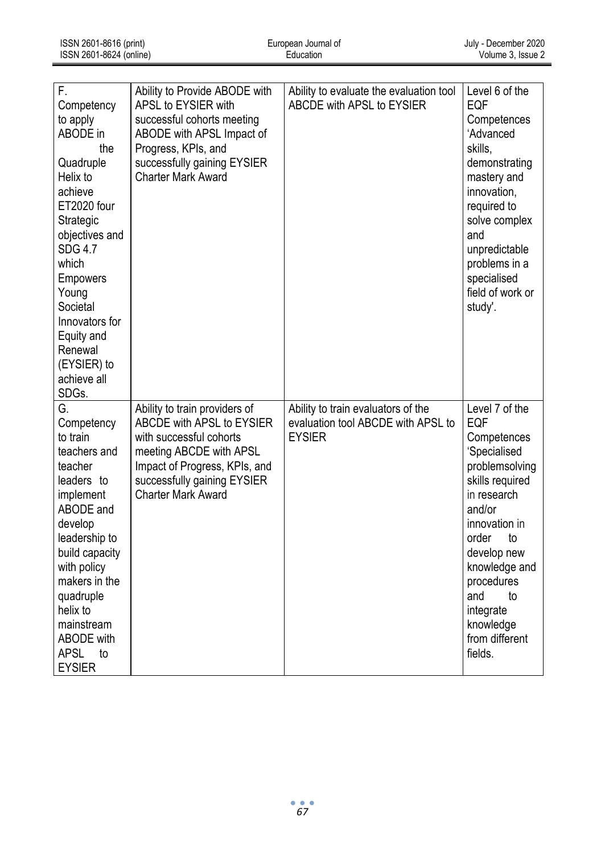| F.<br>Competency<br>to apply<br>ABODE in<br>the<br>Quadruple<br>Helix to<br>achieve<br>ET2020 four<br>Strategic<br>objectives and<br><b>SDG 4.7</b><br>which<br><b>Empowers</b><br>Young<br>Societal<br>Innovators for<br>Equity and<br>Renewal<br>(EYSIER) to<br>achieve all            | Ability to Provide ABODE with<br>APSL to EYSIER with<br>successful cohorts meeting<br>ABODE with APSL Impact of<br>Progress, KPIs, and<br>successfully gaining EYSIER<br>Charter Mark Award                   | Ability to evaluate the evaluation tool<br>ABCDE with APSL to EYSIER                      | Level 6 of the<br>EQF<br>Competences<br>'Advanced<br>skills,<br>demonstrating<br>mastery and<br>innovation,<br>required to<br>solve complex<br>and<br>unpredictable<br>problems in a<br>specialised<br>field of work or<br>study'.                                   |
|------------------------------------------------------------------------------------------------------------------------------------------------------------------------------------------------------------------------------------------------------------------------------------------|---------------------------------------------------------------------------------------------------------------------------------------------------------------------------------------------------------------|-------------------------------------------------------------------------------------------|----------------------------------------------------------------------------------------------------------------------------------------------------------------------------------------------------------------------------------------------------------------------|
| SDGs.<br>G.<br>Competency<br>to train<br>teachers and<br>teacher<br>leaders to<br>implement<br>ABODE and<br>develop<br>leadership to<br>build capacity<br>with policy<br>makers in the<br>quadruple<br>helix to<br>mainstream<br><b>ABODE</b> with<br><b>APSL</b><br>to<br><b>EYSIER</b> | Ability to train providers of<br>ABCDE with APSL to EYSIER<br>with successful cohorts<br>meeting ABCDE with APSL<br>Impact of Progress, KPIs, and<br>successfully gaining EYSIER<br><b>Charter Mark Award</b> | Ability to train evaluators of the<br>evaluation tool ABCDE with APSL to<br><b>EYSIER</b> | Level 7 of the<br>EQF<br>Competences<br>'Specialised<br>problemsolving<br>skills required<br>in research<br>and/or<br>innovation in<br>to<br>order<br>develop new<br>knowledge and<br>procedures<br>and<br>to<br>integrate<br>knowledge<br>from different<br>fields. |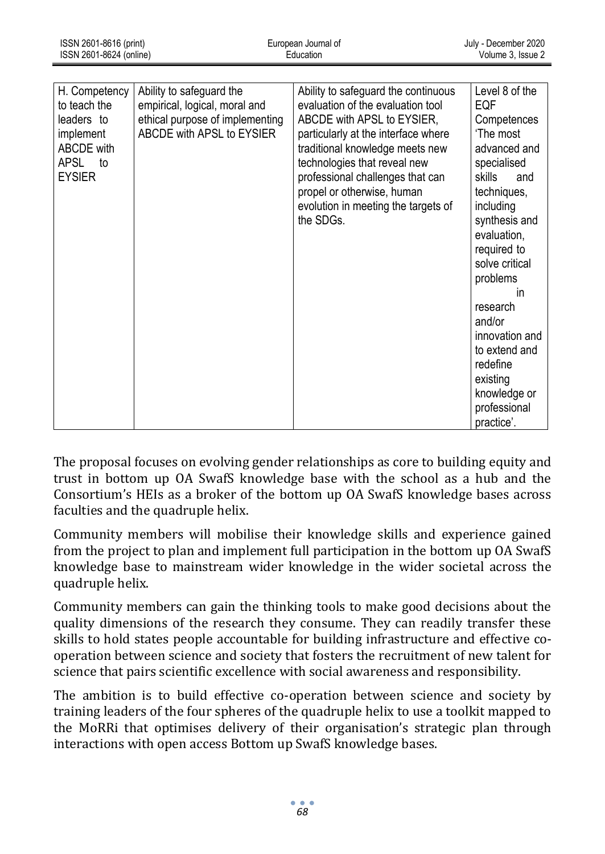| H. Competency<br>to teach the<br>leaders to<br>implement<br>ABCDE with<br><b>APSL</b><br>to<br><b>EYSIER</b> | Ability to safeguard the<br>empirical, logical, moral and<br>ethical purpose of implementing<br>ABCDE with APSL to EYSIER | Ability to safeguard the continuous<br>evaluation of the evaluation tool<br>ABCDE with APSL to EYSIER,<br>particularly at the interface where<br>traditional knowledge meets new<br>technologies that reveal new<br>professional challenges that can<br>propel or otherwise, human<br>evolution in meeting the targets of<br>the SDGs. | Level 8 of the<br>EQF<br>Competences<br>'The most<br>advanced and<br>specialised<br>skills<br>and<br>techniques,<br>including<br>synthesis and<br>evaluation,<br>required to<br>solve critical<br>problems<br>in<br>research<br>and/or<br>innovation and<br>to extend and<br>redefine<br>existing<br>knowledge or<br>professional<br>practice'. |
|--------------------------------------------------------------------------------------------------------------|---------------------------------------------------------------------------------------------------------------------------|----------------------------------------------------------------------------------------------------------------------------------------------------------------------------------------------------------------------------------------------------------------------------------------------------------------------------------------|-------------------------------------------------------------------------------------------------------------------------------------------------------------------------------------------------------------------------------------------------------------------------------------------------------------------------------------------------|

The proposal focuses on evolving gender relationships as core to building equity and trust in bottom up OA SwafS knowledge base with the school as a hub and the Consortium's HEIs as a broker of the bottom up OA SwafS knowledge bases across faculties and the quadruple helix.

Community members will mobilise their knowledge skills and experience gained from the project to plan and implement full participation in the bottom up OA SwafS knowledge base to mainstream wider knowledge in the wider societal across the quadruple helix.

Community members can gain the thinking tools to make good decisions about the quality dimensions of the research they consume. They can readily transfer these skills to hold states people accountable for building infrastructure and effective cooperation between science and society that fosters the recruitment of new talent for science that pairs scientific excellence with social awareness and responsibility.

The ambition is to build effective co-operation between science and society by training leaders of the four spheres of the quadruple helix to use a toolkit mapped to the MoRRi that optimises delivery of their organisation's strategic plan through interactions with open access Bottom up SwafS knowledge bases.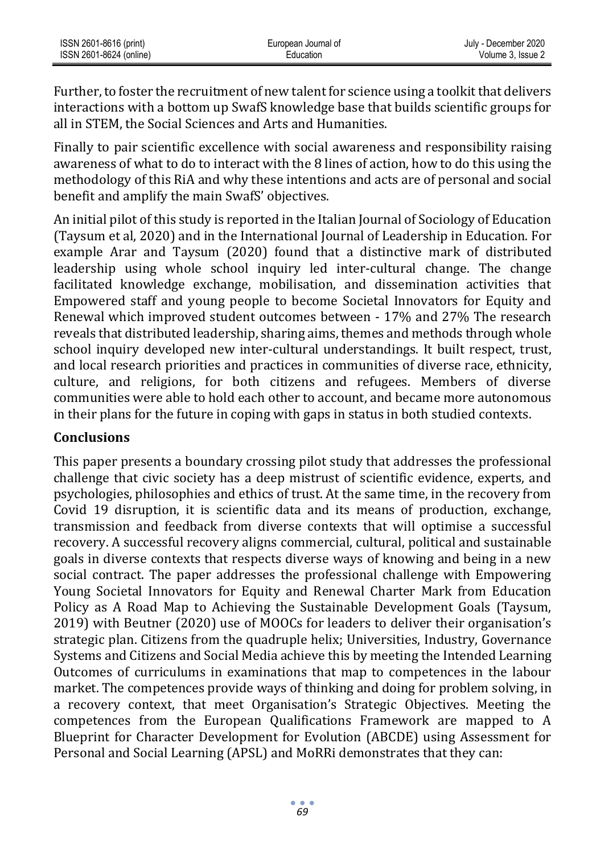| ISSN 2601-8616 (print)  | European Journal of | July - December 2020 |
|-------------------------|---------------------|----------------------|
| ISSN 2601-8624 (online) | Education           | Volume 3. Issue 2    |

Further, to foster the recruitment of new talent for science using a toolkit that delivers interactions with a bottom up SwafS knowledge base that builds scientific groups for all in STEM, the Social Sciences and Arts and Humanities.

Finally to pair scientific excellence with social awareness and responsibility raising awareness of what to do to interact with the 8 lines of action, how to do this using the methodology of this RiA and why these intentions and acts are of personal and social benefit and amplify the main SwafS' objectives.

An initial pilot of this study is reported in the Italian Journal of Sociology of Education (Taysum et al, 2020) and in the International Journal of Leadership in Education. For example Arar and Taysum (2020) found that a distinctive mark of distributed leadership using whole school inquiry led inter-cultural change. The change facilitated knowledge exchange, mobilisation, and dissemination activities that Empowered staff and young people to become Societal Innovators for Equity and Renewal which improved student outcomes between - 17% and 27% The research reveals that distributed leadership, sharing aims, themes and methods through whole school inquiry developed new inter-cultural understandings. It built respect, trust, and local research priorities and practices in communities of diverse race, ethnicity, culture, and religions, for both citizens and refugees. Members of diverse communities were able to hold each other to account, and became more autonomous in their plans for the future in coping with gaps in status in both studied contexts.

#### **Conclusions**

This paper presents a boundary crossing pilot study that addresses the professional challenge that civic society has a deep mistrust of scientific evidence, experts, and psychologies, philosophies and ethics of trust. At the same time, in the recovery from Covid 19 disruption, it is scientific data and its means of production, exchange, transmission and feedback from diverse contexts that will optimise a successful recovery. A successful recovery aligns commercial, cultural, political and sustainable goals in diverse contexts that respects diverse ways of knowing and being in a new social contract. The paper addresses the professional challenge with Empowering Young Societal Innovators for Equity and Renewal Charter Mark from Education Policy as A Road Map to Achieving the Sustainable Development Goals (Taysum, 2019) with Beutner (2020) use of MOOCs for leaders to deliver their organisation's strategic plan. Citizens from the quadruple helix; Universities, Industry, Governance Systems and Citizens and Social Media achieve this by meeting the Intended Learning Outcomes of curriculums in examinations that map to competences in the labour market. The competences provide ways of thinking and doing for problem solving, in a recovery context, that meet Organisation's Strategic Objectives. Meeting the competences from the European Qualifications Framework are mapped to A Blueprint for Character Development for Evolution (ABCDE) using Assessment for Personal and Social Learning (APSL) and MoRRi demonstrates that they can: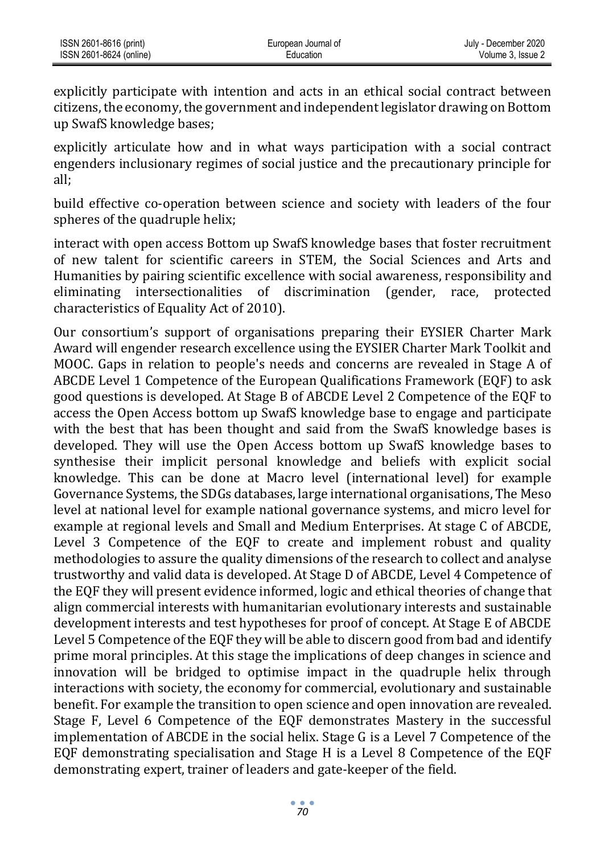| ISSN 2601-8616 (print)  | European Journal of | July - December 2020 |
|-------------------------|---------------------|----------------------|
| ISSN 2601-8624 (online) | Education           | Volume 3. Issue 2    |

explicitly participate with intention and acts in an ethical social contract between citizens, the economy, the government and independent legislator drawing on Bottom up SwafS knowledge bases;

explicitly articulate how and in what ways participation with a social contract engenders inclusionary regimes of social justice and the precautionary principle for all;

build effective co-operation between science and society with leaders of the four spheres of the quadruple helix;

interact with open access Bottom up SwafS knowledge bases that foster recruitment of new talent for scientific careers in STEM, the Social Sciences and Arts and Humanities by pairing scientific excellence with social awareness, responsibility and eliminating intersectionalities of discrimination (gender, race, protected characteristics of Equality Act of 2010).

Our consortium's support of organisations preparing their EYSIER Charter Mark Award will engender research excellence using the EYSIER Charter Mark Toolkit and MOOC. Gaps in relation to people's needs and concerns are revealed in Stage A of ABCDE Level 1 Competence of the European Qualifications Framework (EQF) to ask good questions is developed. At Stage B of ABCDE Level 2 Competence of the EQF to access the Open Access bottom up SwafS knowledge base to engage and participate with the best that has been thought and said from the SwafS knowledge bases is developed. They will use the Open Access bottom up SwafS knowledge bases to synthesise their implicit personal knowledge and beliefs with explicit social knowledge. This can be done at Macro level (international level) for example Governance Systems, the SDGs databases, large international organisations, The Meso level at national level for example national governance systems, and micro level for example at regional levels and Small and Medium Enterprises. At stage C of ABCDE, Level 3 Competence of the EQF to create and implement robust and quality methodologies to assure the quality dimensions of the research to collect and analyse trustworthy and valid data is developed. At Stage D of ABCDE, Level 4 Competence of the EQF they will present evidence informed, logic and ethical theories of change that align commercial interests with humanitarian evolutionary interests and sustainable development interests and test hypotheses for proof of concept. At Stage E of ABCDE Level 5 Competence of the EQF they will be able to discern good from bad and identify prime moral principles. At this stage the implications of deep changes in science and innovation will be bridged to optimise impact in the quadruple helix through interactions with society, the economy for commercial, evolutionary and sustainable benefit. For example the transition to open science and open innovation are revealed. Stage F, Level 6 Competence of the EQF demonstrates Mastery in the successful implementation of ABCDE in the social helix. Stage G is a Level 7 Competence of the EQF demonstrating specialisation and Stage H is a Level 8 Competence of the EQF demonstrating expert, trainer of leaders and gate-keeper of the field.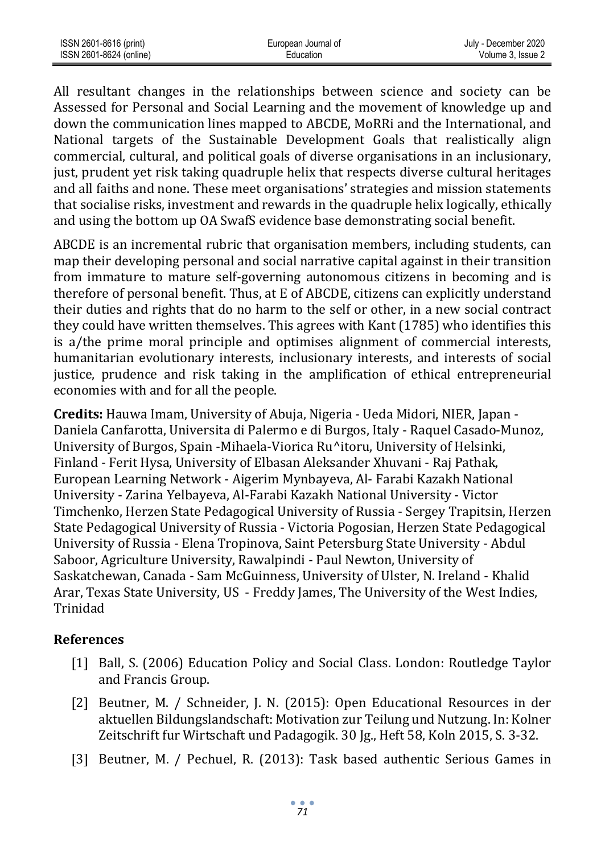| ISSN 2601-8616 (print)  | European Journal of | July - December 2020 |
|-------------------------|---------------------|----------------------|
| ISSN 2601-8624 (online) | Education           | Volume 3. Issue 2    |

All resultant changes in the relationships between science and society can be Assessed for Personal and Social Learning and the movement of knowledge up and down the communication lines mapped to ABCDE, MoRRi and the International, and National targets of the Sustainable Development Goals that realistically align commercial, cultural, and political goals of diverse organisations in an inclusionary, just, prudent yet risk taking quadruple helix that respects diverse cultural heritages and all faiths and none. These meet organisations' strategies and mission statements that socialise risks, investment and rewards in the quadruple helix logically, ethically and using the bottom up OA SwafS evidence base demonstrating social benefit.

ABCDE is an incremental rubric that organisation members, including students, can map their developing personal and social narrative capital against in their transition from immature to mature self-governing autonomous citizens in becoming and is therefore of personal benefit. Thus, at E of ABCDE, citizens can explicitly understand their duties and rights that do no harm to the self or other, in a new social contract they could have written themselves. This agrees with Kant (1785) who identifies this is a/the prime moral principle and optimises alignment of commercial interests, humanitarian evolutionary interests, inclusionary interests, and interests of social justice, prudence and risk taking in the amplification of ethical entrepreneurial economies with and for all the people.

**Credits:** Hauwa Imam, University of Abuja, Nigeria - Ueda Midori, NIER, Japan - Daniela Canfarotta, Universita di Palermo e di Burgos, Italy - Raquel Casado-Munoz, University of Burgos, Spain -Mihaela-Viorica Ru^itoru, University of Helsinki, Finland - Ferit Hysa, University of Elbasan Aleksander Xhuvani - Raj Pathak, European Learning Network - Aigerim Mynbayeva, Al- Farabi Kazakh National University - Zarina Yelbayeva, Al-Farabi Kazakh National University - Victor Timchenko, Herzen State Pedagogical University of Russia - Sergey Trapitsin, Herzen State Pedagogical University of Russia - Victoria Pogosian, Herzen State Pedagogical University of Russia - Elena Tropinova, Saint Petersburg State University - Abdul Saboor, Agriculture University, Rawalpindi - Paul Newton, University of Saskatchewan, Canada - Sam McGuinness, University of Ulster, N. Ireland - Khalid Arar, Texas State University, US - Freddy James, The University of the West Indies, Trinidad

#### **References**

- [1] Ball, S. (2006) Education Policy and Social Class. London: Routledge Taylor and Francis Group.
- [2] Beutner, M. / Schneider, J. N. (2015): Open Educational Resources in der aktuellen Bildungslandschaft: Motivation zur Teilung und Nutzung. In: Kolner Zeitschrift fur Wirtschaft und Padagogik. 30 Jg., Heft 58, Koln 2015, S. 3-32.
- [3] Beutner, M. / Pechuel, R. (2013): Task based authentic Serious Games in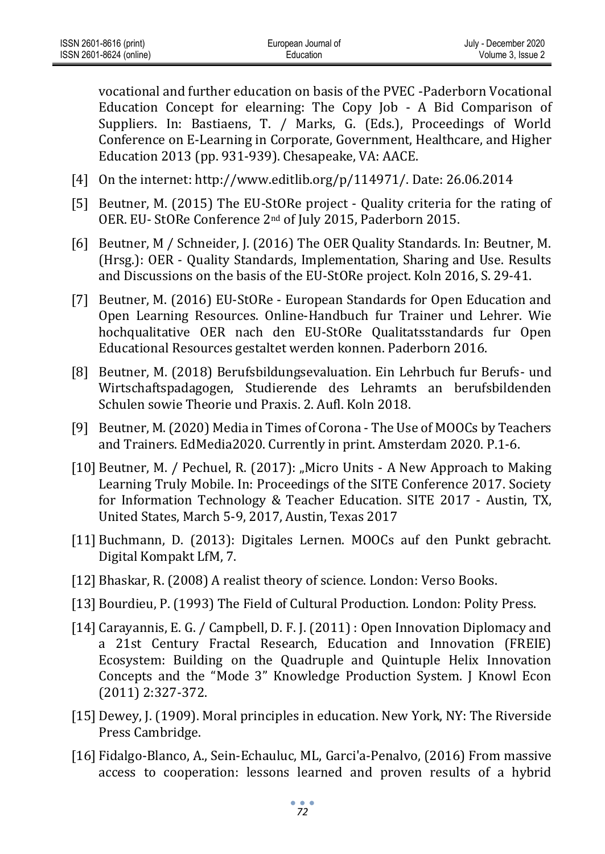vocational and further education on basis of the PVEC -Paderborn Vocational Education Concept for elearning: The Copy Job - A Bid Comparison of Suppliers. In: Bastiaens, T. / Marks, G. (Eds.), Proceedings of World Conference on E-Learning in Corporate, Government, Healthcare, and Higher Education 2013 (pp. 931-939). Chesapeake, VA: AACE.

- [4] On the internet[: http://www.editlib.org/p/114971/.](http://www.editlib.org/p/114971/) Date: 26.06.2014
- [5] Beutner, M. (2015) The EU-StORe project Quality criteria for the rating of OER. EU- StORe Conference 2nd of July 2015, Paderborn 2015.
- [6] Beutner, M / Schneider, J. (2016) The OER Quality Standards. In: Beutner, M. (Hrsg.): OER - Quality Standards, Implementation, Sharing and Use. Results and Discussions on the basis of the EU-StORe project. Koln 2016, S. 29-41.
- [7] Beutner, M. (2016) EU-StORe European Standards for Open Education and Open Learning Resources. Online-Handbuch fur Trainer und Lehrer. Wie hochqualitative OER nach den EU-StORe Qualitatsstandards fur Open Educational Resources gestaltet werden konnen. Paderborn 2016.
- [8] Beutner, M. (2018) Berufsbildungsevaluation. Ein Lehrbuch fur Berufs- und Wirtschaftspadagogen, Studierende des Lehramts an berufsbildenden Schulen sowie Theorie und Praxis. 2. Aufl. Koln 2018.
- [9] Beutner, M. (2020) Media in Times of Corona The Use of MOOCs by Teachers and Trainers. EdMedia2020. Currently in print. Amsterdam 2020. P.1-6.
- [10] Beutner, M. / Pechuel, R. (2017): "Micro Units A New Approach to Making Learning Truly Mobile. In: Proceedings of the SITE Conference 2017. Society for Information Technology & Teacher Education. SITE 2017 - Austin, TX, United States, March 5-9, 2017, Austin, Texas 2017
- [11] Buchmann, D. (2013): Digitales Lernen. MOOCs auf den Punkt gebracht. Digital Kompakt LfM, 7.
- [12] Bhaskar, R. (2008) A realist theory of science. London: Verso Books.
- [13] Bourdieu, P. (1993) The Field of Cultural Production. London: Polity Press.
- [14] Carayannis, E. G. / Campbell, D. F. J. (2011) : Open Innovation Diplomacy and a 21st Century Fractal Research, Education and Innovation (FREIE) Ecosystem: Building on the Quadruple and Quintuple Helix Innovation Concepts and the "Mode 3" Knowledge Production System. J Knowl Econ (2011) 2:327-372.
- [15] Dewey, J. (1909). Moral principles in education. New York, NY: The Riverside Press Cambridge.
- [16] Fidalgo-Blanco, A., Sein-Echauluc, ML, [Garci'a-Penalvo, \(](https://educationaltechnologyjournal.springeropen.com/articles/10.1186/s41239-016-0024-z%23auth-3)2016) [From massive](https://link.springer.com/article/10.1186/s41239-016-0024-z)  [access](https://link.springer.com/article/10.1186/s41239-016-0024-z) [to cooperation: lessons learned and proven results of a hybrid](https://link.springer.com/article/10.1186/s41239-016-0024-z)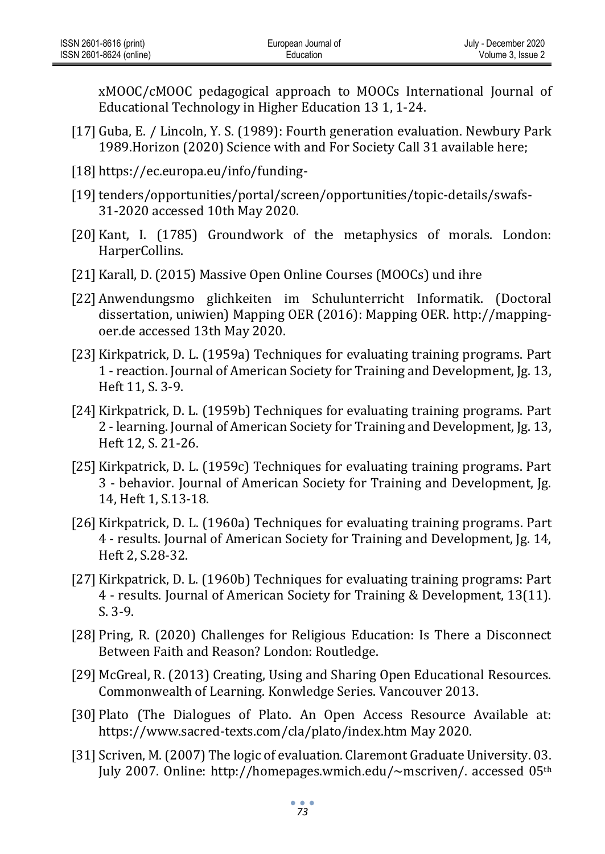[xMOOC/cMOOC](https://link.springer.com/article/10.1186/s41239-016-0024-z) [pedagogical approach to MOOCs I](https://link.springer.com/article/10.1186/s41239-016-0024-z)nternational Journal of Educational Technology in Higher Education 13 1, 1-24.

- [17] Guba, E. / Lincoln, Y. S. (1989): Fourth generation evaluation. Newbury Park 1989.Horizon (2020) Science with and For Society Call 31 available here;
- [18] [https://ec.europa.eu/info/funding-](https://ec.europa.eu/info/funding-tenders/opportunities/portal/screen/opportunities/topic-details/swafs-31-2020%20accessed%2010th%20May%202020)
- [19] tenders/opportunities/portal/screen/opportunities/topic-details/swafs-[31-2020](https://ec.europa.eu/info/funding-tenders/opportunities/portal/screen/opportunities/topic-details/swafs-31-2020%20accessed%2010th%20May%202020) [accessed 10th May 2020.](https://ec.europa.eu/info/funding-tenders/opportunities/portal/screen/opportunities/topic-details/swafs-31-2020%20accessed%2010th%20May%202020)
- [20] Kant, I. (1785) Groundwork of the metaphysics of morals. London: HarperCollins.
- [21] Karall, D. (2015) Massive Open Online Courses (MOOCs) und ihre
- [22] Anwendungsmo glichkeiten im Schulunterricht Informatik. (Doctoral dissertation, uniwien) Mapping OER (2016): Mapping OER. [http://mapping](http://mapping-oer.de/)[oer.de a](http://mapping-oer.de/)ccessed 13th May 2020.
- [23] Kirkpatrick, D. L. (1959a) Techniques for evaluating training programs. Part 1 - reaction. Journal of American Society for Training and Development, Jg. 13, Heft 11, S. 3-9.
- [24] Kirkpatrick, D. L. (1959b) Techniques for evaluating training programs. Part 2 - learning. Journal of American Society for Training and Development, Jg. 13, Heft 12, S. 21-26.
- [25] Kirkpatrick, D. L. (1959c) Techniques for evaluating training programs. Part 3 - behavior. Journal of American Society for Training and Development, Jg. 14, Heft 1, S.13-18.
- [26] Kirkpatrick, D. L. (1960a) Techniques for evaluating training programs. Part 4 - results. Journal of American Society for Training and Development, Jg. 14, Heft 2, S.28-32.
- [27] Kirkpatrick, D. L. (1960b) Techniques for evaluating training programs: Part 4 - results. Journal of American Society for Training & Development, 13(11). S. 3-9.
- [28] Pring, R. (2020) [Challenges for Religious Education: Is There a Disconnect](https://www.amazon.co.uk/Challenges-Religious-Education-Disconnect-Between-ebook/dp/B081QQ19PN/ref=sr_1_2?dchild=1&keywords=Richard+Pring+faith&qid=1589149450&sr=8-2)  [Between](https://www.amazon.co.uk/Challenges-Religious-Education-Disconnect-Between-ebook/dp/B081QQ19PN/ref=sr_1_2?dchild=1&keywords=Richard+Pring+faith&qid=1589149450&sr=8-2) [Faith and Reason? L](https://www.amazon.co.uk/Challenges-Religious-Education-Disconnect-Between-ebook/dp/B081QQ19PN/ref=sr_1_2?dchild=1&keywords=Richard+Pring+faith&qid=1589149450&sr=8-2)ondon: Routledge.
- [29] McGreal, R. (2013) Creating, Using and Sharing Open Educational Resources. Commonwealth of Learning. Konwledge Series. Vancouver 2013.
- [30] Plato (The Dialogues of Plato. An Open Access Resource Available at: [https://www.sacred-texts.com/cla/plato/index.htm M](https://www.sacred-texts.com/cla/plato/index.htm)ay 2020.
- [31] Scriven, M. (2007) The logic of evaluation. Claremont Graduate University. 03. July 2007. Online: [http://homepages.wmich.edu/~mscriven/.](http://homepages.wmich.edu/~mscriven/) accessed 05th